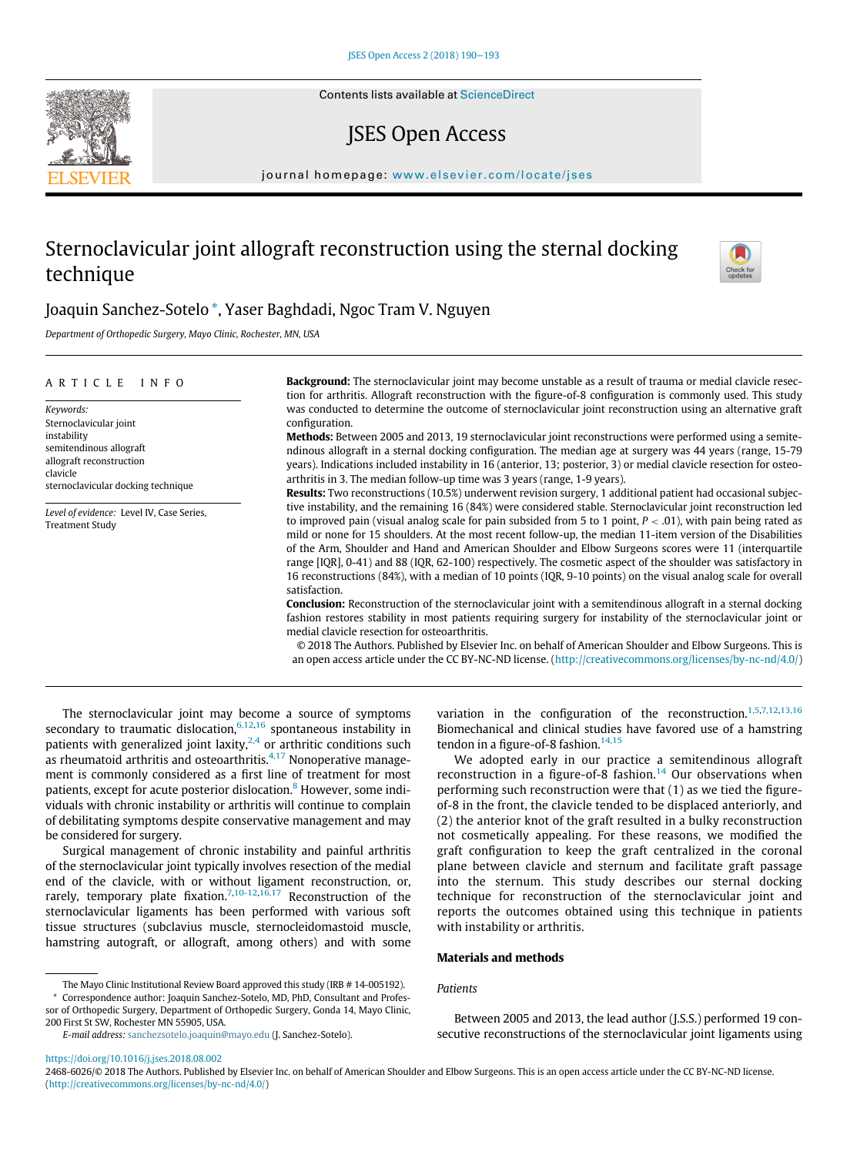# JSES Open Access

journal homepage: [www.elsevier.com/locate/jses](http://www.elsevier.com/locate/jses)

# Sternoclavicular joint allograft reconstruction using the sternal docking technique



# Joaquin Sanchez-Sotelo \*, Yaser Baghdadi, Ngoc Tram V. Nguyen

Department of Orthopedic Surgery, Mayo Clinic, Rochester, MN, USA

| <b>Background:</b> The sternoclavicular joint may become unstable as a result of trauma or medial clavicle resec-<br>tion for arthritis. Allograft reconstruction with the figure-of-8 configuration is commonly used. This study                                                                                                                                                                                                                                                                                                                                                                                                                                                                                                                                                                                                                                                                                                                                                                                                                                                                                                                                                                                                    |
|--------------------------------------------------------------------------------------------------------------------------------------------------------------------------------------------------------------------------------------------------------------------------------------------------------------------------------------------------------------------------------------------------------------------------------------------------------------------------------------------------------------------------------------------------------------------------------------------------------------------------------------------------------------------------------------------------------------------------------------------------------------------------------------------------------------------------------------------------------------------------------------------------------------------------------------------------------------------------------------------------------------------------------------------------------------------------------------------------------------------------------------------------------------------------------------------------------------------------------------|
| was conducted to determine the outcome of sternoclavicular joint reconstruction using an alternative graft<br>configuration.<br>Methods: Between 2005 and 2013, 19 sternoclavicular joint reconstructions were performed using a semite-<br>ndinous allograft in a sternal docking configuration. The median age at surgery was 44 years (range, 15-79<br>years). Indications included instability in 16 (anterior, 13; posterior, 3) or medial clavicle resection for osteo-<br>arthritis in 3. The median follow-up time was 3 years (range, 1-9 years).                                                                                                                                                                                                                                                                                                                                                                                                                                                                                                                                                                                                                                                                           |
| Results: Two reconstructions (10.5%) underwent revision surgery, 1 additional patient had occasional subjec-<br>tive instability, and the remaining 16 (84%) were considered stable. Sternoclavicular joint reconstruction led<br>to improved pain (visual analog scale for pain subsided from 5 to 1 point, $P < .01$ ), with pain being rated as<br>mild or none for 15 shoulders. At the most recent follow-up, the median 11-item version of the Disabilities<br>of the Arm, Shoulder and Hand and American Shoulder and Elbow Surgeons scores were 11 (interquartile<br>range [IQR], 0-41) and 88 (IQR, 62-100) respectively. The cosmetic aspect of the shoulder was satisfactory in<br>16 reconstructions (84%), with a median of 10 points (IQR, 9-10 points) on the visual analog scale for overall<br>satisfaction.<br><b>Conclusion:</b> Reconstruction of the sternoclavicular joint with a semitendinous allograft in a sternal docking<br>fashion restores stability in most patients requiring surgery for instability of the sternoclavicular joint or<br>medial clavicle resection for osteoarthritis.<br>© 2018 The Authors. Published by Elsevier Inc. on behalf of American Shoulder and Elbow Surgeons. This is |
|                                                                                                                                                                                                                                                                                                                                                                                                                                                                                                                                                                                                                                                                                                                                                                                                                                                                                                                                                                                                                                                                                                                                                                                                                                      |

The sternoclavicular joint may become a source of symptoms secondary to traumatic dislocation, $6,12,16$  $6,12,16$  $6,12,16$  spontaneous instability in patients with generalized joint laxity, $^{2,4}$  or arthritic conditions such as rheumatoid arthritis and osteoarthritis. $4,17$  Nonoperative management is commonly considered as a first line of treatment for most patients, except for acute posterior dislocation.<sup>[8](#page-3-4)</sup> However, some individuals with chronic instability or arthritis will continue to complain of debilitating symptoms despite conservative management and may be considered for surgery.

Surgical management of chronic instability and painful arthritis of the sternoclavicular joint typically involves resection of the medial end of the clavicle, with or without ligament reconstruction, or, rarely, temporary plate fixation.<sup>7,[10-12](#page-3-6)[,16,17](#page-3-1)</sup> Reconstruction of the sternoclavicular ligaments has been performed with various soft tissue structures (subclavius muscle, sternocleidomastoid muscle, hamstring autograft, or allograft, among others) and with some variation in the configuration of the reconstruction.<sup>[1,5](#page-3-7)[,7,12](#page-3-5)[,13,16](#page-3-8)</sup> Biomechanical and clinical studies have favored use of a hamstring tendon in a figure-of-8 fashion. $14,15$ 

We adopted early in our practice a semitendinous allograft reconstruction in a figure-of-8 fashion.<sup>[14](#page-3-9)</sup> Our observations when performing such reconstruction were that (1) as we tied the figureof-8 in the front, the clavicle tended to be displaced anteriorly, and (2) the anterior knot of the graft resulted in a bulky reconstruction not cosmetically appealing. For these reasons, we modified the graft configuration to keep the graft centralized in the coronal plane between clavicle and sternum and facilitate graft passage into the sternum. This study describes our sternal docking technique for reconstruction of the sternoclavicular joint and reports the outcomes obtained using this technique in patients with instability or arthritis.

# Materials and methods

# **Patients**

Between 2005 and 2013, the lead author (J.S.S.) performed 19 consecutive reconstructions of the sternoclavicular joint ligaments using

2468-6026/© 2018 The Authors. Published by Elsevier Inc. on behalf of American Shoulder and Elbow Surgeons. This is an open access article under the CC BY-NC-ND license. (<http://creativecommons.org/licenses/by-nc-nd/4.0/>)

The Mayo Clinic Institutional Review Board approved this study (IRB # 14-005192).

<sup>\*</sup> Correspondence author: Joaquin Sanchez-Sotelo, MD, PhD, Consultant and Professor of Orthopedic Surgery, Department of Orthopedic Surgery, Gonda 14, Mayo Clinic, 200 First St SW, Rochester MN 55905, USA.

E-mail address: [sanchezsotelo.joaquin@mayo.edu](mailto:sanchezsotelo.joaquin@mayo.edu) (J. Sanchez-Sotelo).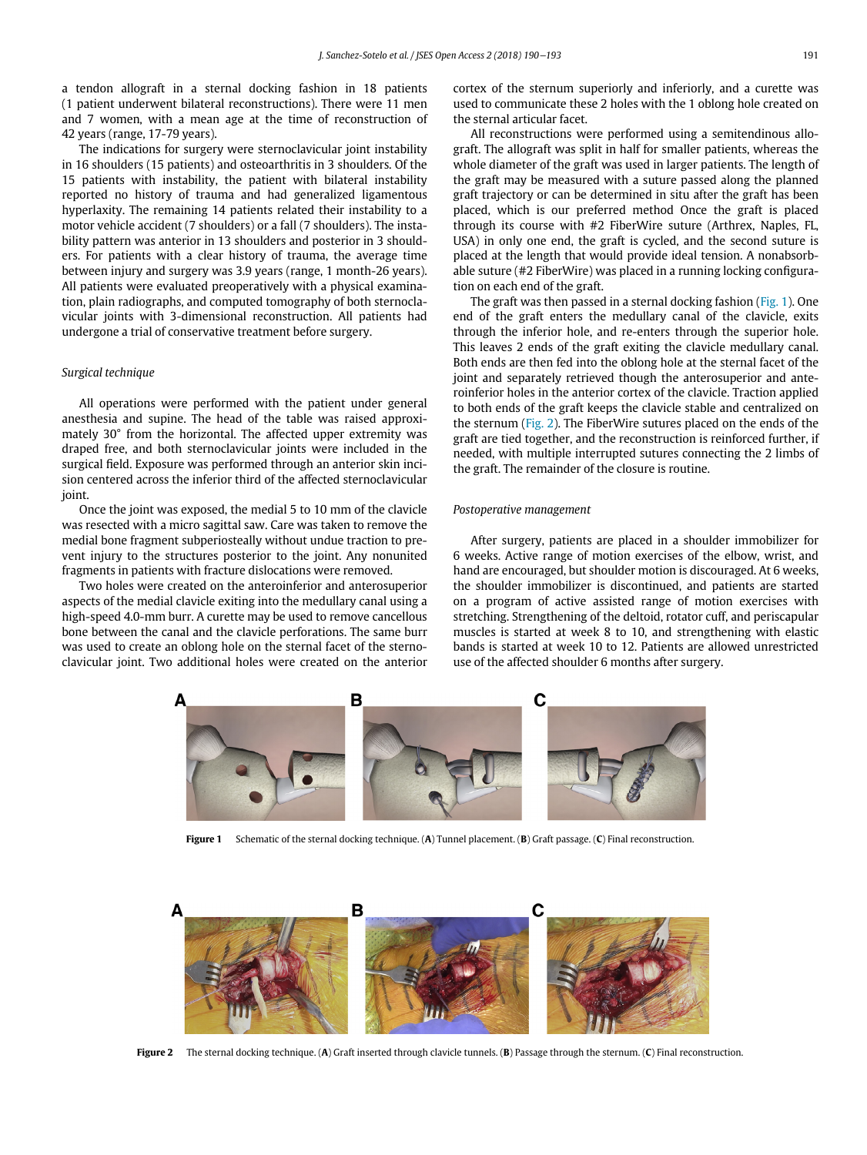a tendon allograft in a sternal docking fashion in 18 patients (1 patient underwent bilateral reconstructions). There were 11 men and 7 women, with a mean age at the time of reconstruction of 42 years (range, 17-79 years).

The indications for surgery were sternoclavicular joint instability in 16 shoulders (15 patients) and osteoarthritis in 3 shoulders. Of the 15 patients with instability, the patient with bilateral instability reported no history of trauma and had generalized ligamentous hyperlaxity. The remaining 14 patients related their instability to a motor vehicle accident (7 shoulders) or a fall (7 shoulders). The instability pattern was anterior in 13 shoulders and posterior in 3 shoulders. For patients with a clear history of trauma, the average time between injury and surgery was 3.9 years (range, 1 month-26 years). All patients were evaluated preoperatively with a physical examination, plain radiographs, and computed tomography of both sternoclavicular joints with 3-dimensional reconstruction. All patients had undergone a trial of conservative treatment before surgery.

### Surgical technique

All operations were performed with the patient under general anesthesia and supine. The head of the table was raised approximately 30° from the horizontal. The affected upper extremity was draped free, and both sternoclavicular joints were included in the surgical field. Exposure was performed through an anterior skin incision centered across the inferior third of the affected sternoclavicular joint.

Once the joint was exposed, the medial 5 to 10 mm of the clavicle was resected with a micro sagittal saw. Care was taken to remove the medial bone fragment subperiosteally without undue traction to prevent injury to the structures posterior to the joint. Any nonunited fragments in patients with fracture dislocations were removed.

<span id="page-1-0"></span>Two holes were created on the anteroinferior and anterosuperior aspects of the medial clavicle exiting into the medullary canal using a high-speed 4.0-mm burr. A curette may be used to remove cancellous bone between the canal and the clavicle perforations. The same burr was used to create an oblong hole on the sternal facet of the sternoclavicular joint. Two additional holes were created on the anterior cortex of the sternum superiorly and inferiorly, and a curette was used to communicate these 2 holes with the 1 oblong hole created on the sternal articular facet.

All reconstructions were performed using a semitendinous allograft. The allograft was split in half for smaller patients, whereas the whole diameter of the graft was used in larger patients. The length of the graft may be measured with a suture passed along the planned graft trajectory or can be determined in situ after the graft has been placed, which is our preferred method Once the graft is placed through its course with #2 FiberWire suture (Arthrex, Naples, FL, USA) in only one end, the graft is cycled, and the second suture is placed at the length that would provide ideal tension. A nonabsorbable suture (#2 FiberWire) was placed in a running locking configuration on each end of the graft.

The graft was then passed in a sternal docking fashion ([Fig. 1](#page-1-0)). One end of the graft enters the medullary canal of the clavicle, exits through the inferior hole, and re-enters through the superior hole. This leaves 2 ends of the graft exiting the clavicle medullary canal. Both ends are then fed into the oblong hole at the sternal facet of the joint and separately retrieved though the anterosuperior and anteroinferior holes in the anterior cortex of the clavicle. Traction applied to both ends of the graft keeps the clavicle stable and centralized on the sternum [\(Fig. 2\)](#page-1-1). The FiberWire sutures placed on the ends of the graft are tied together, and the reconstruction is reinforced further, if needed, with multiple interrupted sutures connecting the 2 limbs of the graft. The remainder of the closure is routine.

#### Postoperative management

After surgery, patients are placed in a shoulder immobilizer for 6 weeks. Active range of motion exercises of the elbow, wrist, and hand are encouraged, but shoulder motion is discouraged. At 6 weeks, the shoulder immobilizer is discontinued, and patients are started on a program of active assisted range of motion exercises with stretching. Strengthening of the deltoid, rotator cuff, and periscapular muscles is started at week 8 to 10, and strengthening with elastic bands is started at week 10 to 12. Patients are allowed unrestricted use of the affected shoulder 6 months after surgery.



Figure 1 Schematic of the sternal docking technique. (A) Tunnel placement. (B) Graft passage. (C) Final reconstruction.

<span id="page-1-1"></span>

Figure 2 The sternal docking technique. (A) Graft inserted through clavicle tunnels. (B) Passage through the sternum. (C) Final reconstruction.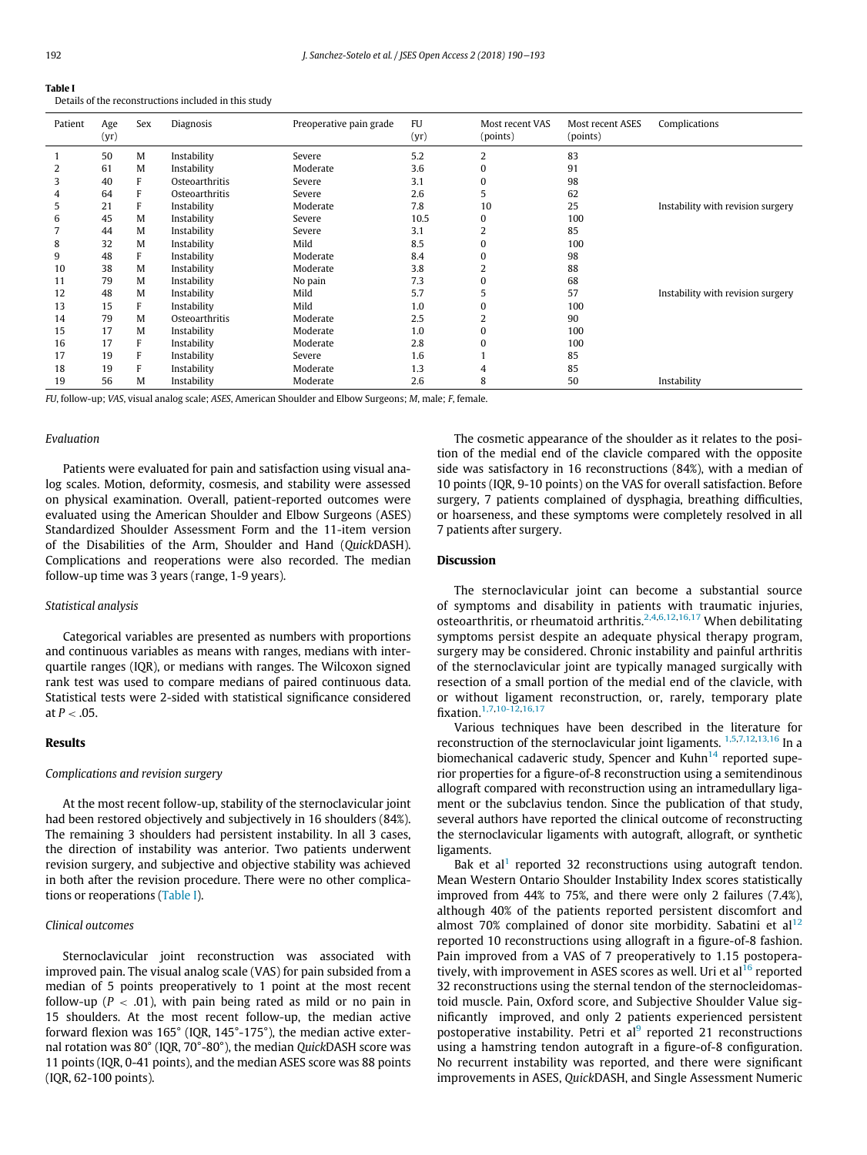<span id="page-2-0"></span>

| танк г |                                                       |  |  |
|--------|-------------------------------------------------------|--|--|
|        | Details of the reconstructions included in this study |  |  |

| Patient | Age<br>(yr) | Sex | Diagnosis      | Preoperative pain grade | <b>FU</b><br>(yr) | Most recent VAS<br>(points) | Most recent ASES<br>(points) | Complications                     |
|---------|-------------|-----|----------------|-------------------------|-------------------|-----------------------------|------------------------------|-----------------------------------|
|         | 50          | M   | Instability    | Severe                  | 5.2               | 2                           | 83                           |                                   |
|         | 61          | M   | Instability    | Moderate                | 3.6               | $\Omega$                    | 91                           |                                   |
| 3       | 40          | F   | Osteoarthritis | Severe                  | 3.1               | 0                           | 98                           |                                   |
|         | 64          | F   | Osteoarthritis | Severe                  | 2.6               | 5                           | 62                           |                                   |
| 5       | 21          | F   | Instability    | Moderate                | 7.8               | 10                          | 25                           | Instability with revision surgery |
| 6       | 45          | M   | Instability    | Severe                  | 10.5              | $\Omega$                    | 100                          |                                   |
|         | 44          | M   | Instability    | Severe                  | 3.1               | 2                           | 85                           |                                   |
| 8       | 32          | M   | Instability    | Mild                    | 8.5               | $\Omega$                    | 100                          |                                   |
| 9       | 48          | F   | Instability    | Moderate                | 8.4               | 0                           | 98                           |                                   |
| 10      | 38          | M   | Instability    | Moderate                | 3.8               |                             | 88                           |                                   |
| 11      | 79          | M   | Instability    | No pain                 | 7.3               |                             | 68                           |                                   |
| 12      | 48          | M   | Instability    | Mild                    | 5.7               | 5                           | 57                           | Instability with revision surgery |
| 13      | 15          | F   | Instability    | Mild                    | 1.0               |                             | 100                          |                                   |
| 14      | 79          | M   | Osteoarthritis | Moderate                | 2.5               |                             | 90                           |                                   |
| 15      | 17          | M   | Instability    | Moderate                | 1.0               | $\Omega$                    | 100                          |                                   |
| 16      | 17          | F   | Instability    | Moderate                | 2.8               | $\Omega$                    | 100                          |                                   |
| 17      | 19          | F   | Instability    | Severe                  | 1.6               |                             | 85                           |                                   |
| 18      | 19          | F   | Instability    | Moderate                | 1.3               | 4                           | 85                           |                                   |
| 19      | 56          | M   | Instability    | Moderate                | 2.6               | 8                           | 50                           | Instability                       |

FU, follow-up; VAS, visual analog scale; ASES, American Shoulder and Elbow Surgeons; M, male; F, female.

#### Evaluation

Patients were evaluated for pain and satisfaction using visual analog scales. Motion, deformity, cosmesis, and stability were assessed on physical examination. Overall, patient-reported outcomes were evaluated using the American Shoulder and Elbow Surgeons (ASES) Standardized Shoulder Assessment Form and the 11-item version of the Disabilities of the Arm, Shoulder and Hand (QuickDASH). Complications and reoperations were also recorded. The median follow-up time was 3 years (range, 1-9 years).

### Statistical analysis

Categorical variables are presented as numbers with proportions and continuous variables as means with ranges, medians with interquartile ranges (IQR), or medians with ranges. The Wilcoxon signed rank test was used to compare medians of paired continuous data. Statistical tests were 2-sided with statistical significance considered at  $P < .05$ .

#### Results

#### Complications and revision surgery

At the most recent follow-up, stability of the sternoclavicular joint had been restored objectively and subjectively in 16 shoulders (84%). The remaining 3 shoulders had persistent instability. In all 3 cases, the direction of instability was anterior. Two patients underwent revision surgery, and subjective and objective stability was achieved in both after the revision procedure. There were no other complications or reoperations ([Table I](#page-2-0)).

# Clinical outcomes

Sternoclavicular joint reconstruction was associated with improved pain. The visual analog scale (VAS) for pain subsided from a median of 5 points preoperatively to 1 point at the most recent follow-up ( $P < .01$ ), with pain being rated as mild or no pain in 15 shoulders. At the most recent follow-up, the median active forward flexion was 165° (IQR, 145°-175°), the median active external rotation was 80° (IQR, 70°-80°), the median QuickDASH score was 11 points (IQR, 0-41 points), and the median ASES score was 88 points (IQR, 62-100 points).

The cosmetic appearance of the shoulder as it relates to the position of the medial end of the clavicle compared with the opposite side was satisfactory in 16 reconstructions (84%), with a median of 10 points (IQR, 9-10 points) on the VAS for overall satisfaction. Before surgery, 7 patients complained of dysphagia, breathing difficulties, or hoarseness, and these symptoms were completely resolved in all 7 patients after surgery.

#### Discussion

The sternoclavicular joint can become a substantial source of symptoms and disability in patients with traumatic injuries, osteoarthritis, or rheumatoid arthritis.<sup>[2,4](#page-3-2),[6,12,](#page-3-0)[16,17](#page-3-1)</sup> When debilitating symptoms persist despite an adequate physical therapy program, surgery may be considered. Chronic instability and painful arthritis of the sternoclavicular joint are typically managed surgically with resection of a small portion of the medial end of the clavicle, with or without ligament reconstruction, or, rarely, temporary plate fixation.[1,7](#page-3-7),[10-12,](#page-3-6)[16,17](#page-3-1)

Various techniques have been described in the literature for reconstruction of the sternoclavicular joint ligaments. <sup>[1,5](#page-3-7)[,7,12](#page-3-5)[,13,16](#page-3-8)</sup> In a biomechanical cadaveric study, Spencer and Kuhn $^{14}$  reported superior properties for a figure-of-8 reconstruction using a semitendinous allograft compared with reconstruction using an intramedullary ligament or the subclavius tendon. Since the publication of that study, several authors have reported the clinical outcome of reconstructing the sternoclavicular ligaments with autograft, allograft, or synthetic ligaments.

Bak et al<sup>[1](#page-3-7)</sup> reported 32 reconstructions using autograft tendon. Mean Western Ontario Shoulder Instability Index scores statistically improved from 44% to 75%, and there were only 2 failures (7.4%), although 40% of the patients reported persistent discomfort and almost 70% complained of donor site morbidity. Sabatini et  $al<sup>12</sup>$  $al<sup>12</sup>$  $al<sup>12</sup>$ reported 10 reconstructions using allograft in a figure-of-8 fashion. Pain improved from a VAS of 7 preoperatively to 1.15 postopera-tively, with improvement in ASES scores as well. Uri et al<sup>[16](#page-3-1)</sup> reported 32 reconstructions using the sternal tendon of the sternocleidomastoid muscle. Pain, Oxford score, and Subjective Shoulder Value significantly improved, and only 2 patients experienced persistent postoperative instability. Petri et  $al^9$  $al^9$  reported 21 reconstructions using a hamstring tendon autograft in a figure-of-8 configuration. No recurrent instability was reported, and there were significant improvements in ASES, QuickDASH, and Single Assessment Numeric